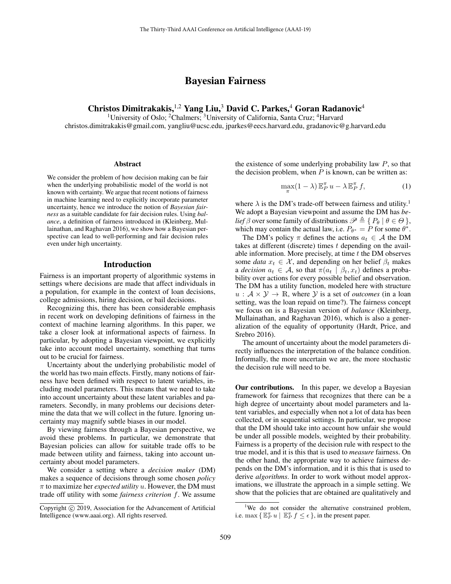# Bayesian Fairness

Christos Dimitrakakis,<sup>1,2</sup> Yang Liu,<sup>3</sup> David C. Parkes,<sup>4</sup> Goran Radanovic<sup>4</sup>

<sup>1</sup>University of Oslo; <sup>2</sup>Chalmers; <sup>3</sup>University of California, Santa Cruz; <sup>4</sup>Harvard

christos.dimitrakakis@gmail.com, yangliu@ucsc.edu, jparkes@eecs.harvard.edu, gradanovic@g.harvard.edu

### **Abstract**

We consider the problem of how decision making can be fair when the underlying probabilistic model of the world is not known with certainty. We argue that recent notions of fairness in machine learning need to explicitly incorporate parameter uncertainty, hence we introduce the notion of *Bayesian fairness* as a suitable candidate for fair decision rules. Using *balance*, a definition of fairness introduced in [\(Kleinberg, Mul](#page-7-0)[lainathan, and Raghavan 2016\)](#page-7-0), we show how a Bayesian perspective can lead to well-performing and fair decision rules even under high uncertainty.

#### Introduction

Fairness is an important property of algorithmic systems in settings where decisions are made that affect individuals in a population, for example in the context of loan decisions, college admissions, hiring decision, or bail decisions.

Recognizing this, there has been considerable emphasis in recent work on developing definitions of fairness in the context of machine learning algorithms. In this paper, we take a closer look at informational aspects of fairness. In particular, by adopting a Bayesian viewpoint, we explicitly take into account model uncertainty, something that turns out to be crucial for fairness.

Uncertainty about the underlying probabilistic model of the world has two main effects. Firstly, many notions of fairness have been defined with respect to latent variables, including model parameters. This means that we need to take into account uncertainty about these latent variables and parameters. Secondly, in many problems our decisions determine the data that we will collect in the future. Ignoring uncertainty may magnify subtle biases in our model.

By viewing fairness through a Bayesian perspective, we avoid these problems. In particular, we demonstrate that Bayesian policies can allow for suitable trade offs to be made between utility and fairness, taking into account uncertainty about model parameters.

We consider a setting where a *decision maker* (DM) makes a sequence of decisions through some chosen *policy*  $\pi$  to maximize her *expected utility* u. However, the DM must trade off utility with some *fairness criterion* f. We assume the existence of some underlying probability law  $P$ , so that the decision problem, when  $P$  is known, can be written as:

<span id="page-0-1"></span>
$$
\max_{\pi} (1 - \lambda) \mathbb{E}_P^{\pi} u - \lambda \mathbb{E}_P^{\pi} f, \tag{1}
$$

where  $\lambda$  is the DM's trade-off between fairness and utility.<sup>[1](#page-0-0)</sup> We adopt a Bayesian viewpoint and assume the DM has *belief*  $\beta$  over some family of distributions  $\mathscr{P} \triangleq \{ P_{\theta} | \theta \in \Theta \}$ , which may contain the actual law, i.e.  $P_{\theta^*} = \tilde{P}$  for some  $\theta^*$ .

The DM's policy  $\pi$  defines the actions  $a_t \in \mathcal{A}$  the DM takes at different (discrete) times  $t$  depending on the available information. More precisely, at time  $t$  the DM observes some *data*  $x_t \in \mathcal{X}$ , and depending on her belief  $\beta_t$  makes a *decision*  $a_t \in \mathcal{A}$ , so that  $\pi(a_t \mid \beta_t, x_t)$  defines a probability over actions for every possible belief and observation. The DM has a utility function, modeled here with structure  $u : A \times Y \rightarrow \mathbb{R}$ , where Y is a set of *outcomes* (in a loan setting, was the loan repaid on time?). The fairness concept we focus on is a Bayesian version of *balance* [\(Kleinberg,](#page-7-0) [Mullainathan, and Raghavan 2016\)](#page-7-0), which is also a generalization of the equality of opportunity [\(Hardt, Price, and](#page-6-0) [Srebro 2016\)](#page-6-0).

The amount of uncertainty about the model parameters directly influences the interpretation of the balance condition. Informally, the more uncertain we are, the more stochastic the decision rule will need to be.

Our contributions. In this paper, we develop a Bayesian framework for fairness that recognizes that there can be a high degree of uncertainty about model parameters and latent variables, and especially when not a lot of data has been collected, or in sequential settings. In particular, we propose that the DM should take into account how unfair she would be under all possible models, weighted by their probability. Fairness is a property of the decision rule with respect to the true model, and it is this that is used to *measure* fairness. On the other hand, the appropriate way to achieve fairness depends on the DM's information, and it is this that is used to derive *algorithms*. In order to work without model approximations, we illustrate the approach in a simple setting. We show that the policies that are obtained are qualitatively and

Copyright © 2019, Association for the Advancement of Artificial Intelligence (www.aaai.org). All rights reserved.

<span id="page-0-0"></span><sup>&</sup>lt;sup>1</sup>We do not consider the alternative constrained problem, i.e. max  $\{\mathbb{E}_P^{\pi} u \mid \mathbb{E}_P^{\pi} f \leq \epsilon\}$ , in the present paper.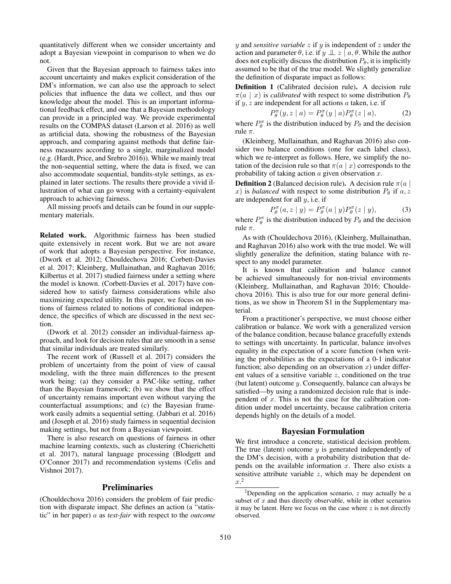quantitatively different when we consider uncertainty and adopt a Bayesian viewpoint in comparison to when we do not.

Given that the Bayesian approach to fairness takes into account uncertainty and makes explicit consideration of the DM's information, we can also use the approach to select policies that influence the data we collect, and thus our knowledge about the model. This is an important informational feedback effect, and one that a Bayesian methodology can provide in a principled way. We provide experimental results on the COMPAS dataset [\(Larson et al. 2016\)](#page-7-1) as well as artificial data, showing the robustness of the Bayesian approach, and comparing against methods that define fairness measures according to a single, marginalized model (e.g. [\(Hardt, Price, and Srebro 2016\)](#page-6-0)). While we mainly treat the non-sequential setting, where the data is fixed, we can also accommodate sequential, bandits-style settings, as explained in later sections. The results there provide a vivid illustration of what can go wrong with a certainty-equivalent approach to achieving fairness.

All missing proofs and details can be found in our supplementary materials.

Related work. Algorithmic fairness has been studied quite extensively in recent work. But we are not aware of work that adopts a Bayesian perspective. For instance, [\(Dwork et al. 2012;](#page-6-1) [Chouldechova 2016;](#page-6-2) [Corbett-Davies](#page-6-3) [et al. 2017;](#page-6-3) [Kleinberg, Mullainathan, and Raghavan 2016;](#page-7-0) [Kilbertus et al. 2017\)](#page-7-2) studied fairness under a setting where the model is known. [\(Corbett-Davies et al. 2017\)](#page-6-3) have considered how to satisfy fairness considerations while also maximizing expected utility. In this paper, we focus on notions of fairness related to notions of conditional independence, the specifics of which are discussed in the next section.

[\(Dwork et al. 2012\)](#page-6-1) consider an individual-fairness approach, and look for decision rules that are smooth in a sense that similar individuals are treated similarly.

The recent work of [\(Russell et al. 2017\)](#page-7-3) considers the problem of uncertainty from the point of view of causal modeling, with the three main differences to the present work being: (a) they consider a PAC-like setting, rather than the Bayesian framework; (b) we show that the effect of uncertainty remains important even without varying the counterfactual assumptions; and (c) the Bayesian framework easily admits a sequential setting. [\(Jabbari et al. 2016\)](#page-6-4) and [\(Joseph et al. 2016\)](#page-7-4) study fairness in sequential decision making settings, but not from a Bayesian viewpoint.

There is also research on questions of fairness in other machine learning contexts, such as clustering [\(Chierichetti](#page-6-5) [et al. 2017\)](#page-6-5), natural language processing [\(Blodgett and](#page-6-6) [O'Connor 2017\)](#page-6-6) and recommendation systems [\(Celis and](#page-6-7) [Vishnoi 2017\)](#page-6-7).

# Preliminaries

[\(Chouldechova 2016\)](#page-6-2) considers the problem of fair prediction with disparate impact. She defines an action (a "statistic" in her paper) a as *test-fair* with respect to the *outcome*  $y$  and *sensitive variable*  $z$  if  $y$  is independent of  $z$  under the action and parameter  $\theta$ , i.e. if  $y \perp z \mid a, \theta$ . While the author does not explicitly discuss the distribution  $P_{\theta}$ , it is implicitly assumed to be that of the true model. We slightly generalize the definition of disparate impact as follows:

Definition 1 (Calibrated decision rule). A decision rule  $\pi(a \mid x)$  is *calibrated* with respect to some distribution  $P_{\theta}$ if  $y, z$  are independent for all actions  $a$  taken, i.e. if

$$
P_{\theta}^{\pi}(y, z \mid a) = P_{\theta}^{\pi}(y \mid a) P_{\theta}^{\pi}(z \mid a), \tag{2}
$$

where  $P_{\theta}^{\pi}$  is the distribution induced by  $P_{\theta}$  and the decision rule  $\pi$ .

[\(Kleinberg, Mullainathan, and Raghavan 2016\)](#page-7-0) also consider two balance conditions (one for each label class), which we re-interpret as follows. Here, we simplify the notation of the decision rule so that  $\pi(a \mid x)$  corresponds to the probability of taking action  $a$  given observation  $x$ .

**Definition 2** (Balanced decision rule). A decision rule  $\pi(a)$ x) is *balanced* with respect to some distribution  $P_{\theta}$  if  $a, z$ are independent for all  $y$ , i.e. if

$$
P_{\theta}^{\pi}(a, z \mid y) = P_{\theta}^{\pi}(a \mid y) P_{\theta}^{\pi}(z \mid y), \tag{3}
$$

where  $P_{\theta}^{\pi}$  is the distribution induced by  $P_{\theta}$  and the decision rule  $\pi$ .

As with [\(Chouldechova 2016\)](#page-6-2), [\(Kleinberg, Mullainathan,](#page-7-0) [and Raghavan 2016\)](#page-7-0) also work with the true model. We will slightly generalize the definition, stating balance with respect to any model parameter.

It is known that calibration and balance cannot be achieved simultaneously for non-trivial environments [\(Kleinberg, Mullainathan, and Raghavan 2016;](#page-7-0) [Choulde](#page-6-2)[chova 2016\)](#page-6-2). This is also true for our more general definitions, as we show in Theorem S1 in the Supplementary material.

From a practitioner's perspective, we must choose either calibration or balance. We work with a generalized version of the balance condition, because balance gracefully extends to settings with uncertainty. In particular, balance involves equality in the expectation of a score function (when writing the probabilities as the expectations of a 0-1 indicator function; also depending on an observation x) under different values of a sensitive variable z, conditioned on the true (but latent) outcome y. Consequently, balance can always be satisfied—by using a randomized decision rule that is independent of  $x$ . This is not the case for the calibration condition under model uncertainty, because calibration criteria depends highly on the details of a model.

### Bayesian Formulation

We first introduce a concrete, statistical decision problem. The true (latent) outcome  $y$  is generated independently of the DM's decision, with a probability distribution that depends on the available information  $x$ . There also exists a sensitive attribute variable  $z$ , which may be dependent on  $x^2$  $x^2$ 

<span id="page-1-0"></span><sup>&</sup>lt;sup>2</sup>Depending on the application scenario,  $z$  may actually be a subset of  $x$  and thus directly observable, while in other scenarios it may be latent. Here we focus on the case where  $z$  is not directly observed.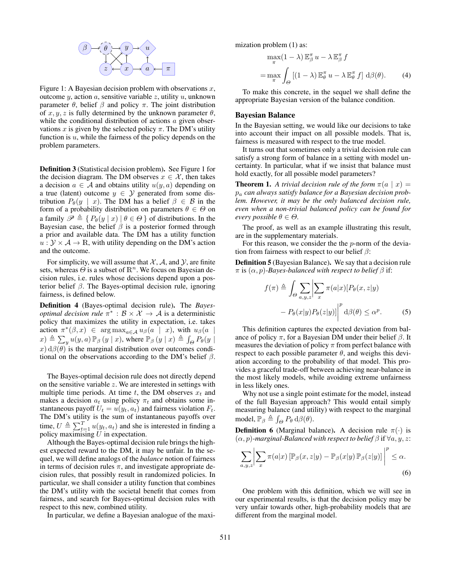

Figure 1: A Bayesian decision problem with observations  $x$ , outcome  $y$ , action  $a$ , sensitive variable  $z$ , utility  $u$ , unknown parameter  $\theta$ , belief  $\beta$  and policy  $\pi$ . The joint distribution of  $x, y, z$  is fully determined by the unknown parameter  $\theta$ , while the conditional distribution of actions  $a$  given observations x is given by the selected policy  $\pi$ . The DM's utility function is  $u$ , while the fairness of the policy depends on the problem parameters.

Definition 3 (Statistical decision problem). See Figure [1](#page-2-0) for the decision diagram. The DM observes  $x \in \mathcal{X}$ , then takes a decision  $a \in A$  and obtains utility  $u(y, a)$  depending on a true (latent) outcome  $y \in Y$  generated from some distribution  $P_{\theta}(y \mid x)$ . The DM has a belief  $\beta \in \mathcal{B}$  in the form of a probability distribution on parameters  $\theta \in \Theta$  on a family  $\mathscr{P} \triangleq \{ P_{\theta}(y | x) | \theta \in \Theta \}$  of distributions. In the Bayesian case, the belief  $\beta$  is a posterior formed through a prior and available data. The DM has a utility function  $u: \mathcal{Y} \times \mathcal{A} \rightarrow \mathbb{R}$ , with utility depending on the DM's action and the outcome.

For simplicity, we will assume that  $X$ ,  $A$ , and  $Y$ , are finite sets, whereas  $\Theta$  is a subset of  $\mathbb{R}^n$ . We focus on Bayesian decision rules, i.e. rules whose decisions depend upon a posterior belief  $\beta$ . The Bayes-optimal decision rule, ignoring fairness, is defined below.

Definition 4 (Bayes-optimal decision rule). The *Bayesoptimal decision rule*  $\pi^*$  :  $\mathcal{B} \times \mathcal{X} \to \mathcal{A}$  is a deterministic policy that maximizes the utility in expectation, i.e. takes action  $\pi^*(\beta, x) \in \arg \max_{a \in \mathcal{A}} u_{\beta}(a \mid x)$ , with  $u_{\beta}(a \mid x)$  $f(x) \triangleq \sum_{y} u(y, a) \mathbb{P}_{\beta} (y | x)$ , where  $\mathbb{P}_{\beta} (y | x) \triangleq \int_{\Theta} P_{\theta} (y | x)$ x)  $d\beta(\theta)$  is the marginal distribution over outcomes conditional on the observations according to the DM's belief  $\beta$ .

The Bayes-optimal decision rule does not directly depend on the sensitive variable  $z$ . We are interested in settings with multiple time periods. At time t, the DM observes  $x_t$  and makes a decision  $a_t$  using policy  $\pi_t$  and obtains some instantaneous payoff  $U_t = u(y_t, a_t)$  and fairness violation  $F_t$ . The DM's utility is the sum of instantaneous payoffs over time,  $U \triangleq \sum_{t=1}^{T} u(y_t, a_t)$  and she is interested in finding a policy maximising  $U$  in expectation.

Although the Bayes-optimal decision rule brings the highest expected reward to the DM, it may be unfair. In the sequel, we will define analogs of the *balance* notion of fairness in terms of decision rules  $\pi$ , and investigate appropriate decision rules, that possibly result in randomized policies. In particular, we shall consider a utility function that combines the DM's utility with the societal benefit that comes from fairness, and search for Bayes-optimal decision rules with respect to this new, combined utility.

In particular, we define a Bayesian analogue of the maxi-

mization problem [\(1\)](#page-0-1) as:

<span id="page-2-1"></span>
$$
\max_{\pi} (1 - \lambda) \mathbb{E}_{\beta}^{\pi} u - \lambda \mathbb{E}_{\beta}^{\pi} f
$$

$$
= \max_{\pi} \int_{\Theta} [(1 - \lambda) \mathbb{E}_{\theta}^{\pi} u - \lambda \mathbb{E}_{\theta}^{\pi} f] d\beta(\theta). \tag{4}
$$

<span id="page-2-0"></span>To make this concrete, in the sequel we shall define the appropriate Bayesian version of the balance condition.

### Bayesian Balance

In the Bayesian setting, we would like our decisions to take into account their impact on all possible models. That is, fairness is measured with respect to the true model.

It turns out that sometimes only a trivial decision rule can satisfy a strong form of balance in a setting with model uncertainty. In particular, what if we insist that balance must hold exactly, for all possible model parameters?

**Theorem 1.** A trivial decision rule of the form  $\pi(a \mid x)$  = p<sup>a</sup> *can always satisfy balance for a Bayesian decision problem. However, it may be the only balanced decision rule, even when a non-trivial balanced policy can be found for every possible*  $\theta \in \Theta$ *.* 

The proof, as well as an example illustrating this result, are in the supplementary materials.

For this reason, we consider the the  $p$ -norm of the deviation from fairness with respect to our belief  $\beta$ :

Definition 5 (Bayesian Balance). We say that a decision rule  $\pi$  is  $(\alpha, p)$ *-Bayes-balanced with respect to belief*  $\beta$  if:

<span id="page-2-2"></span>
$$
f(\pi) \triangleq \int_{\Theta} \sum_{a,y,z} \left| \sum_{x} \pi(a|x) [P_{\theta}(x,z|y) - P_{\theta}(x|y) P_{\theta}(z|y)] \right|^{p} d\beta(\theta) \leq \alpha^{p}.
$$
 (5)

This definition captures the expected deviation from balance of policy  $\pi$ , for a Bayesian DM under their belief  $\beta$ . It measures the deviation of policy  $\pi$  from perfect balance with respect to each possible parameter  $\theta$ , and weighs this deviation according to the probability of that model. This provides a graceful trade-off between achieving near-balance in the most likely models, while avoiding extreme unfairness in less likely ones.

Why not use a single point estimate for the model, instead of the full Bayesian approach? This would entail simply measuring balance (and utility) with respect to the marginal model,  $\mathbb{P}_{\beta} \triangleq \int_{\Theta} P_{\theta} d\beta(\theta)$ .

**Definition 6** (Marginal balance). A decision rule  $\pi(\cdot)$  is  $(\alpha, p)$ -marginal-Balanced with respect to belief  $\beta$  if  $\forall a, y, z$ :

$$
\sum_{a,y,z} \left| \sum_x \pi(a|x) \left[ \mathbb{P}_\beta(x,z|y) - \mathbb{P}_\beta(x|y) \mathbb{P}_\beta(z|y) \right] \right|^p \le \alpha.
$$
\n(6)

One problem with this definition, which we will see in our experimental results, is that the decision policy may be very unfair towards other, high-probability models that are different from the marginal model.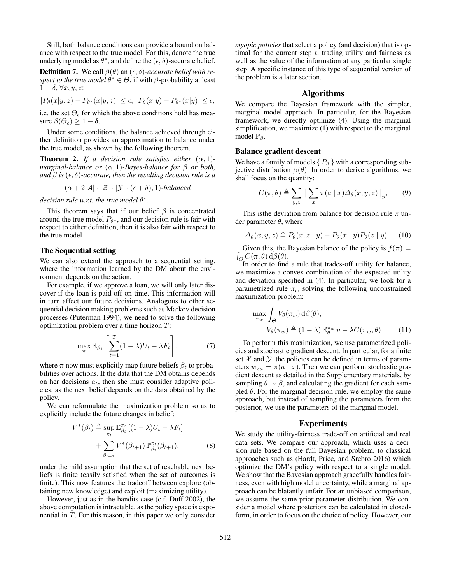Still, both balance conditions can provide a bound on balance with respect to the true model. For this, denote the true underlying model as  $\theta^*$ , and define the  $(\epsilon, \delta)$ -accurate belief.

**Definition 7.** We call  $\beta(\theta)$  an  $(\epsilon, \delta)$ -accurate belief with re*spect to the true model*  $\theta^* \in \Theta$ , if with  $\beta$ -probability at least  $1 - \delta, \forall x, y, z$ :

$$
|P_{\theta}(x|y,z) - P_{\theta^*}(x|y,z)| \le \epsilon, \ |P_{\theta}(x|y) - P_{\theta^*}(x|y)| \le \epsilon,
$$

i.e. the set  $\Theta_{\epsilon}$  for which the above conditions hold has measure  $\beta(\Theta_{\epsilon}) \geq 1 - \delta$ .

Under some conditions, the balance achieved through either definition provides an approximation to balance under the true model, as shown by the following theorem.

<span id="page-3-0"></span>**Theorem 2.** *If a decision rule satisfies either*  $(\alpha, 1)$ *marginal-balance or* (α, 1)*-Bayes-balance for* β *or both, and*  $\beta$  *is* ( $\epsilon$ ,  $\delta$ )-accurate, then the resulting decision rule is a

 $(\alpha + 2|\mathcal{A}| \cdot |\mathcal{Z}| \cdot |\mathcal{Y}| \cdot (\epsilon + \delta), 1)$ *-balanced* 

 $decision$  *rule w.r.t. the true model*  $\theta^*$ *.* 

This theorem says that if our belief  $\beta$  is concentrated around the true model  $P_{\theta^*}$ , and our decision rule is fair with respect to either definition, then it is also fair with respect to the true model.

### The Sequential setting

We can also extend the approach to a sequential setting, where the information learned by the DM about the environment depends on the action.

For example, if we approve a loan, we will only later discover if the loan is paid off on time. This information will in turn affect our future decisions. Analogous to other sequential decision making problems such as Markov decision processes [\(Puterman 1994\)](#page-7-5), we need to solve the following optimization problem over a time horizon T:

$$
\max_{\pi} \mathbb{E}_{\beta_1} \left[ \sum_{t=1}^T (1 - \lambda) U_t - \lambda F_t \right],\tag{7}
$$

where  $\pi$  now must explicitly map future beliefs  $\beta_t$  to probabilities over actions. If the data that the DM obtains depends on her decisions  $a_t$ , then she must consider adaptive policies, as the next belief depends on the data obtained by the policy.

We can reformulate the maximization problem so as to explicitly include the future changes in belief:

$$
V^*(\beta_t) \triangleq \sup_{\pi_t} \mathbb{E}_{\beta_t}^{\pi_t} \left[ (1 - \lambda) U_t - \lambda F_t \right]
$$
  
+ 
$$
\sum_{\beta_{t+1}} V^*(\beta_{t+1}) \mathbb{P}_{\beta_t}^{\pi_t}(\beta_{t+1}),
$$
 (8)

under the mild assumption that the set of reachable next beliefs is finite (easily satisfied when the set of outcomes is finite). This now features the tradeoff between explore (obtaining new knowledge) and exploit (maximizing utility).

However, just as in the bandits case (c.f. [Duff](#page-6-8) [2002\)](#page-6-8), the above computation is intractable, as the policy space is exponential in T. For this reason, in this paper we only consider *myopic policies* that select a policy (and decision) that is optimal for the current step  $t$ , trading utility and fairness as well as the value of the information at any particular single step. A specific instance of this type of sequential version of the problem is a later section.

## Algorithms

We compare the Bayesian framework with the simpler, marginal-model approach. In particular, for the Bayesian framework, we directly optimize [\(4\)](#page-2-1). Using the marginal simplification, we maximize [\(1\)](#page-0-1) with respect to the marginal model  $\mathbb{P}_{\beta}$ .

#### Balance gradient descent

We have a family of models  $\{P_{\theta}\}\$  with a corresponding subjective distribution  $\beta(\theta)$ . In order to derive algorithms, we shall focus on the quantity:

$$
C(\pi, \theta) \triangleq \sum_{y,z} \left\| \sum_x \pi(a \mid x) \Delta_{\theta}(x, y, z) \right\|_p, \qquad (9)
$$

This is the deviation from balance for decision rule  $\pi$  under parameter  $\theta$ , where

$$
\Delta_{\theta}(x, y, z) \triangleq P_{\theta}(x, z \mid y) - P_{\theta}(x \mid y) P_{\theta}(z \mid y). \tag{10}
$$

 $\int_{\Theta} C(\pi, \theta) d\beta(\theta).$ Given this, the Bayesian balance of the policy is  $f(\pi) =$ 

In order to find a rule that trades-off utility for balance, we maximize a convex combination of the expected utility and deviation specified in [\(4\)](#page-2-1). In particular, we look for a parametrized rule  $\pi_w$  solving the following unconstrained maximization problem:

$$
\max_{\pi_w} \int_{\Theta} V_{\theta}(\pi_w) \, d\beta(\theta),
$$
  

$$
V_{\theta}(\pi_w) \triangleq (1 - \lambda) \mathbb{E}_{\theta}^{\pi_w} u - \lambda C(\pi_w, \theta)
$$
 (11)

To perform this maximization, we use parametrized policies and stochastic gradient descent. In particular, for a finite set  $X$  and  $Y$ , the policies can be defined in terms of parameters  $w_{xa} = \pi(a \mid x)$ . Then we can perform stochastic gradient descent as detailed in the Supplementary materials, by sampling  $\theta \sim \beta$ , and calculating the gradient for each sampled  $\theta$ . For the marginal decision rule, we employ the same approach, but instead of sampling the parameters from the posterior, we use the parameters of the marginal model.

### Experiments

We study the utility-fairness trade-off on artificial and real data sets. We compare our approach, which uses a decision rule based on the full Bayesian problem, to classical approaches such as [\(Hardt, Price, and Srebro 2016\)](#page-6-0) which optimize the DM's policy with respect to a single model. We show that the Bayesian approach gracefully handles fairness, even with high model uncertainty, while a marginal approach can be blatantly unfair. For an unbiased comparison, we assume the same prior parameter distribution. We consider a model where posteriors can be calculated in closedform, in order to focus on the choice of policy. However, our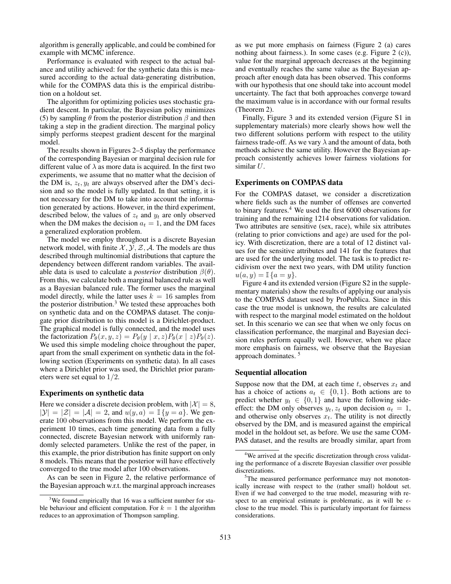algorithm is generally applicable, and could be combined for example with MCMC inference.

Performance is evaluated with respect to the actual balance and utility achieved: for the synthetic data this is measured according to the actual data-generating distribution, while for the COMPAS data this is the empirical distribution on a holdout set.

The algorithm for optimizing policies uses stochastic gradient descent. In particular, the Bayesian policy minimizes [\(5\)](#page-2-2) by sampling  $\theta$  from the posterior distribution  $\beta$  and then taking a step in the gradient direction. The marginal policy simply performs steepest gradient descent for the marginal model.

The results shown in Figures [2–](#page-5-0)[5](#page-6-9) display the performance of the corresponding Bayesian or marginal decision rule for different value of  $\lambda$  as more data is acquired. In the first two experiments, we assume that no matter what the decision of the DM is,  $z_t$ ,  $y_t$  are always observed after the DM's decision and so the model is fully updated. In that setting, it is not necessary for the DM to take into account the information generated by actions. However, in the third experiment, described below, the values of  $z_t$  and  $y_t$  are only observed when the DM makes the decision  $a_t = 1$ , and the DM faces a generalized exploration problem.

The model we employ throughout is a discrete Bayesian network model, with finite  $X, Y, Z, A$ . The models are thus described through multinomial distributions that capture the dependency between different random variables. The available data is used to calculate a *posterior* distribution  $\beta(\theta)$ . From this, we calculate both a marginal balanced rule as well as a Bayesian balanced rule. The former uses the marginal model directly, while the latter uses  $k = 16$  samples from the posterior distribution.<sup>[3](#page-4-0)</sup> We tested these approaches both on synthetic data and on the COMPAS dataset. The conjugate prior distribution to this model is a Dirichlet-product. The graphical model is fully connected, and the model uses the factorization  $P_{\theta}(x, y, z) = P_{\theta}(y | x, z) P_{\theta}(x | z) P_{\theta}(z)$ . We used this simple modeling choice throughout the paper, apart from the small experiment on synthetic data in the following section (Experiments on synthetic data). In all cases where a Dirichlet prior was used, the Dirichlet prior parameters were set equal to 1/2.

# Experiments on synthetic data

Here we consider a discrete decision problem, with  $|\mathcal{X}| = 8$ ,  $|\mathcal{Y}| = |\mathcal{Z}| = |\mathcal{A}| = 2$ , and  $u(y, a) = \mathbb{I}\{y = a\}$ . We generate 100 observations from this model. We perform the experiment 10 times, each time generating data from a fully connected, discrete Bayesian network with uniformly randomly selected parameters. Unlike the rest of the paper, in this example, the prior distribution has finite support on only 8 models. This means that the posterior will have effectively converged to the true model after 100 observations.

As can be seen in Figure [2,](#page-5-0) the relative performance of the Bayesian approach w.r.t. the marginal approach increases

as we put more emphasis on fairness (Figure [2](#page-5-0) (a) cares nothing about fairness.). In some cases (e.g. Figure [2](#page-5-0) (c)), value for the marginal approach decreases at the beginning and eventually reaches the same value as the Bayesian approach after enough data has been observed. This conforms with our hypothesis that one should take into account model uncertainty. The fact that both approaches converge toward the maximum value is in accordance with our formal results (Theorem [2\)](#page-3-0).

Finally, Figure [3](#page-5-1) and its extended version (Figure S1 in supplementary materials) more clearly shows how well the two different solutions perform with respect to the utility fairness trade-off. As we vary  $\lambda$  and the amount of data, both methods achieve the same utility. However the Bayesian approach consistently achieves lower fairness violations for similar U.

## Experiments on COMPAS data

For the COMPAS dataset, we consider a discretization where fields such as the number of offenses are converted to binary features.[4](#page-4-1) We used the first 6000 observations for training and the remaining 1214 observations for validation. Two attributes are sensitive (sex, race), while six attributes (relating to prior convictions and age) are used for the policy. With discretization, there are a total of 12 distinct values for the sensitive attributes and 141 for the features that are used for the underlying model. The task is to predict recidivism over the next two years, with DM utility function  $u(a, y) = \mathbb{I} \{a = y\}.$ 

Figure [4](#page-6-10) and its extended version (Figure S2 in the supplementary materials) show the results of applying our analysis to the COMPAS dataset used by ProPublica. Since in this case the true model is unknown, the results are calculated with respect to the marginal model estimated on the holdout set. In this scenario we can see that when we only focus on classification performance, the marginal and Bayesian decision rules perform equally well. However, when we place more emphasis on fairness, we observe that the Bayesian approach dominates. [5](#page-4-2)

#### Sequential allocation

Suppose now that the DM, at each time t, observes  $x_t$  and has a choice of actions  $a_t \in \{0, 1\}$ . Both actions are to predict whether  $y_t \in \{0, 1\}$  and have the following sideeffect: the DM only observes  $y_t$ ,  $z_t$  upon decision  $a_t = 1$ , and otherwise only observes  $x_t$ . The utility is not directly observed by the DM, and is measured against the empirical model in the holdout set, as before. We use the same COM-PAS dataset, and the results are broadly similar, apart from

<span id="page-4-0"></span> $3$ We found empirically that 16 was a sufficient number for stable behaviour and efficient computation. For  $k = 1$  the algorithm reduces to an approximation of Thompson sampling.

<span id="page-4-1"></span><sup>&</sup>lt;sup>4</sup>We arrived at the specific discretization through cross validating the performance of a discrete Bayesian classifier over possible discretizations.

<span id="page-4-2"></span><sup>&</sup>lt;sup>5</sup>The measured performance performance may not monotonically increase with respect to the (rather small) holdout set. Even if we had converged to the true model, measuring with respect to an empirical estimate is problematic, as it will be  $\epsilon$ close to the true model. This is particularly important for fairness considerations.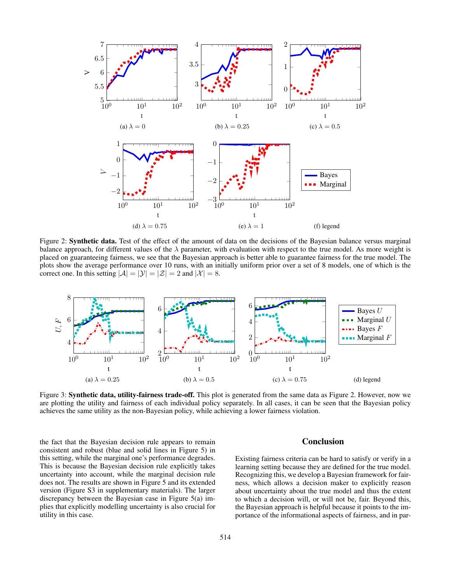

Figure 2: **Synthetic data.** Test of the effect of the amount of data on the decisions of the Bayesian balance versus marginal balance approach, for different values of the  $\lambda$  parameter, with evaluation with respect to the true model. As more weight is placed on guaranteeing fairness, we see that the Bayesian approach is better able to guarantee fairness for the true model. The plots show the average performance over 10 runs, with an initially uniform prior over a set of 8 models, one of which is the correct one. In this setting  $|\mathcal{A}| = |\mathcal{Y}| = |\mathcal{Z}| = 2$  and  $|\mathcal{X}| = 8$ .



Figure 3: **Synthetic data, utility-fairness trade-off.** This plot is generated from the same data as Figure [2.](#page-5-0) However, now we are plotting the utility and fairness of each individual policy separately. In all cases, it can be seen that the Bayesian policy achieves the same utility as the non-Bayesian policy, while achieving a lower fairness violation.

the fact that the Bayesian decision rule appears to remain consistent and robust (blue and solid lines in Figure [5\)](#page-6-9) in this setting, while the marginal one's performance degrades. This is because the Bayesian decision rule explicitly takes uncertainty into account, while the marginal decision rule does not. The results are shown in Figure [5](#page-6-9) and its extended version (Figure S3 in supplementary materials). The larger discrepancy between the Bayesian case in Figure [5\(](#page-6-9)a) implies that explicitly modelling uncertainty is also crucial for utility in this case.

## <span id="page-5-1"></span><span id="page-5-0"></span>**Conclusion**

Existing fairness criteria can be hard to satisfy or verify in a learning setting because they are defined for the true model. Recognizing this, we develop a Bayesian framework for fairness, which allows a decision maker to explicitly reason about uncertainty about the true model and thus the extent to which a decision will, or will not be, fair. Beyond this, the Bayesian approach is helpful because it points to the importance of the informational aspects of fairness, and in par-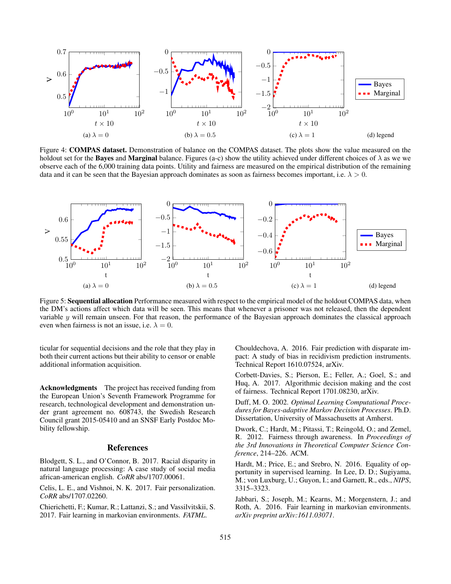

<span id="page-6-10"></span>Figure 4: COMPAS dataset. Demonstration of balance on the COMPAS dataset. The plots show the value measured on the holdout set for the Bayes and Marginal balance. Figures (a-c) show the utility achieved under different choices of  $\lambda$  as we we observe each of the 6,000 training data points. Utility and fairness are measured on the empirical distribution of the remaining data and it can be seen that the Bayesian approach dominates as soon as fairness becomes important, i.e.  $\lambda > 0$ .



Figure 5: Sequential allocation Performance measured with respect to the empirical model of the holdout COMPAS data, when the DM's actions affect which data will be seen. This means that whenever a prisoner was not released, then the dependent variable  $y$  will remain unseen. For that reason, the performance of the Bayesian approach dominates the classical approach even when fairness is not an issue, i.e.  $\lambda = 0$ .

ticular for sequential decisions and the role that they play in both their current actions but their ability to censor or enable additional information acquisition.

Acknowledgments The project has received funding from the European Union's Seventh Framework Programme for research, technological development and demonstration under grant agreement no. 608743, the Swedish Research Council grant 2015-05410 and an SNSF Early Postdoc Mobility fellowship.

# References

<span id="page-6-6"></span>Blodgett, S. L., and O'Connor, B. 2017. Racial disparity in natural language processing: A case study of social media african-american english. *CoRR* abs/1707.00061.

<span id="page-6-7"></span>Celis, L. E., and Vishnoi, N. K. 2017. Fair personalization. *CoRR* abs/1707.02260.

<span id="page-6-5"></span>Chierichetti, F.; Kumar, R.; Lattanzi, S.; and Vassilvitskii, S. 2017. Fair learning in markovian environments. *FATML*.

<span id="page-6-9"></span><span id="page-6-2"></span>Chouldechova, A. 2016. Fair prediction with disparate impact: A study of bias in recidivism prediction instruments. Technical Report 1610.07524, arXiv.

<span id="page-6-3"></span>Corbett-Davies, S.; Pierson, E.; Feller, A.; Goel, S.; and Huq, A. 2017. Algorithmic decision making and the cost of fairness. Technical Report 1701.08230, arXiv.

<span id="page-6-8"></span>Duff, M. O. 2002. *Optimal Learning Computational Procedures for Bayes-adaptive Markov Decision Processes*. Ph.D. Dissertation, University of Massachusetts at Amherst.

<span id="page-6-1"></span>Dwork, C.; Hardt, M.; Pitassi, T.; Reingold, O.; and Zemel, R. 2012. Fairness through awareness. In *Proceedings of the 3rd Innovations in Theoretical Computer Science Conference*, 214–226. ACM.

<span id="page-6-0"></span>Hardt, M.; Price, E.; and Srebro, N. 2016. Equality of opportunity in supervised learning. In Lee, D. D.; Sugiyama, M.; von Luxburg, U.; Guyon, I.; and Garnett, R., eds., *NIPS*, 3315–3323.

<span id="page-6-4"></span>Jabbari, S.; Joseph, M.; Kearns, M.; Morgenstern, J.; and Roth, A. 2016. Fair learning in markovian environments. *arXiv preprint arXiv:1611.03071*.